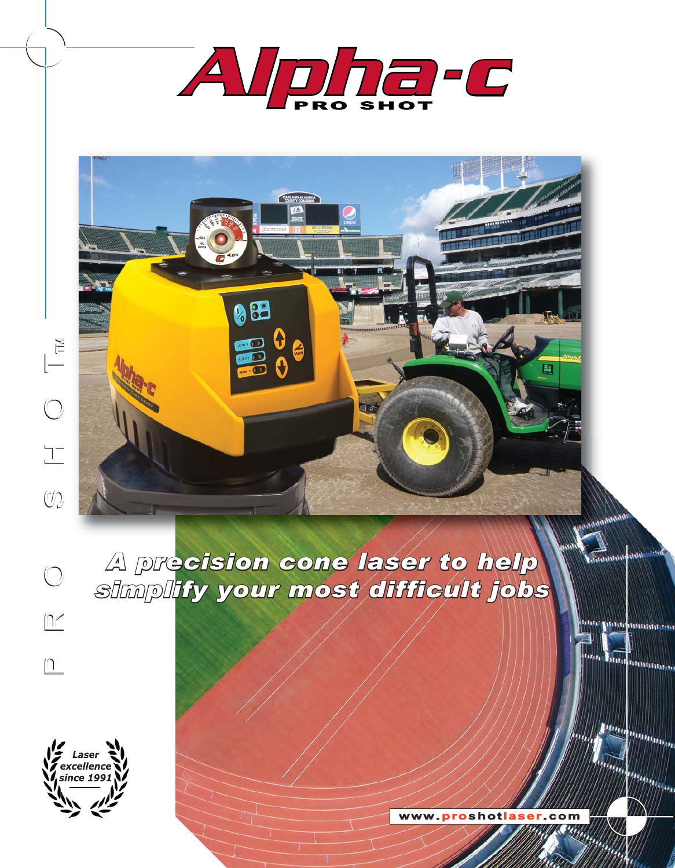

 $\bigcirc$ 

 $\boxed{1'}$ 

 $\boxed{1}$ 

*A precision cone laser to help simplify your most difficult jobs*

88

-0



**www .proshotlaser .com**

**UNIVERSITY OF** 

17. r. r.

Pom

**Internette** 

**TELESCOPE SERVICE AND ALL AND ARTICLES** 

**Munu** 

Mun